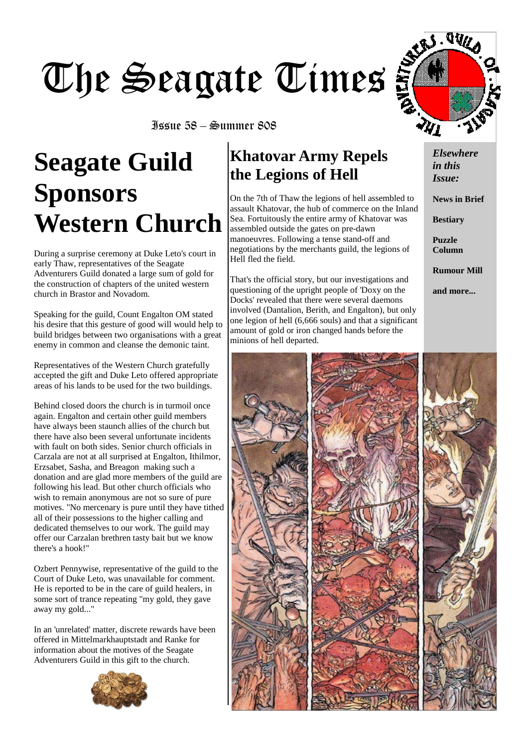# The Seagate Times

Issue 58 – Summer 808

# **Seagate Guild Sponsors Western Church**

During a surprise ceremony at Duke Leto's court in early Thaw, representatives of the Seagate Adventurers Guild donated a large sum of gold for the construction of chapters of the united western church in Brastor and Novadom.

Speaking for the guild, Count Engalton OM stated his desire that this gesture of good will would help to build bridges between two organisations with a great enemy in common and cleanse the demonic taint.

Representatives of the Western Church gratefully accepted the gift and Duke Leto offered appropriate areas of his lands to be used for the two buildings.

Behind closed doors the church is in turmoil once again. Engalton and certain other guild members have always been staunch allies of the church but there have also been several unfortunate incidents with fault on both sides. Senior church officials in Carzala are not at all surprised at Engalton, Ithilmor, Erzsabet, Sasha, and Breagon making such a donation and are glad more members of the guild are following his lead. But other church officials who wish to remain anonymous are not so sure of pure motives. "No mercenary is pure until they have tithed all of their possessions to the higher calling and dedicated themselves to our work. The guild may offer our Carzalan brethren tasty bait but we know there's a hook!"

Ozbert Pennywise, representative of the guild to the Court of Duke Leto, was unavailable for comment. He is reported to be in the care of guild healers, in some sort of trance repeating "my gold, they gave away my gold..."

In an 'unrelated' matter, discrete rewards have been offered in Mittelmarkhauptstadt and Ranke for information about the motives of the Seagate Adventurers Guild in this gift to the church.



## **Khatovar Army Repels the Legions of Hell**

On the 7th of Thaw the legions of hell assembled to assault Khatovar, the hub of commerce on the Inland Sea. Fortuitously the entire army of Khatovar was assembled outside the gates on pre-dawn manoeuvres. Following a tense stand-off and negotiations by the merchants guild, the legions of Hell fled the field.

That's the official story, but our investigations and questioning of the upright people of 'Doxy on the Docks' revealed that there were several daemons involved (Dantalion, Berith, and Engalton), but only one legion of hell (6,666 souls) and that a significant amount of gold or iron changed hands before the minions of hell departed.



*Elsewhere in this Issue:* 

**News in Brief** 

**Bestiary** 

**Puzzle Column** 

**Rumour Mill** 

**and more...** 

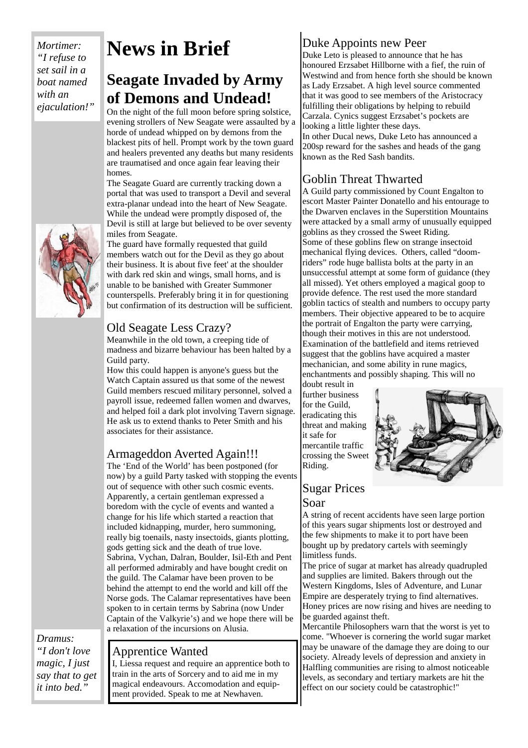*Mortimer: "I refuse to set sail in a boat named with an ejaculation!"*



## **News in Brief**

## **Seagate Invaded by Army of Demons and Undead!**

On the night of the full moon before spring solstice, evening strollers of New Seagate were assaulted by a horde of undead whipped on by demons from the blackest pits of hell. Prompt work by the town guard and healers prevented any deaths but many residents are traumatised and once again fear leaving their homes.

The Seagate Guard are currently tracking down a portal that was used to transport a Devil and several extra-planar undead into the heart of New Seagate. While the undead were promptly disposed of, the Devil is still at large but believed to be over seventy miles from Seagate.

The guard have formally requested that guild members watch out for the Devil as they go about their business. It is about five feet' at the shoulder with dark red skin and wings, small horns, and is unable to be banished with Greater Summoner counterspells. Preferably bring it in for questioning but confirmation of its destruction will be sufficient.

#### Old Seagate Less Crazy?

Meanwhile in the old town, a creeping tide of madness and bizarre behaviour has been halted by a Guild party.

How this could happen is anyone's guess but the Watch Captain assured us that some of the newest Guild members rescued military personnel, solved a payroll issue, redeemed fallen women and dwarves, and helped foil a dark plot involving Tavern signage. He ask us to extend thanks to Peter Smith and his associates for their assistance.

#### Armageddon Averted Again!!!

The 'End of the World' has been postponed (for now) by a guild Party tasked with stopping the events out of sequence with other such cosmic events. Apparently, a certain gentleman expressed a boredom with the cycle of events and wanted a change for his life which started a reaction that included kidnapping, murder, hero summoning, really big toenails, nasty insectoids, giants plotting, gods getting sick and the death of true love. Sabrina, Vychan, Dalran, Boulder, Isil-Eth and Pent all performed admirably and have bought credit on the guild. The Calamar have been proven to be behind the attempt to end the world and kill off the Norse gods. The Calamar representatives have been spoken to in certain terms by Sabrina (now Under Captain of the Valkyrie's) and we hope there will be a relaxation of the incursions on Alusia.

*Dramus: "I don't love magic, I just say that to get it into bed."*

#### Apprentice Wanted

I, Liessa request and require an apprentice both to train in the arts of Sorcery and to aid me in my magical endeavours. Accomodation and equipment provided. Speak to me at Newhaven.

#### Duke Appoints new Peer

Duke Leto is pleased to announce that he has honoured Erzsabet Hillborne with a fief, the ruin of Westwind and from hence forth she should be known as Lady Erzsabet. A high level source commented that it was good to see members of the Aristocracy fulfilling their obligations by helping to rebuild Carzala. Cynics suggest Erzsabet's pockets are looking a little lighter these days.

In other Ducal news, Duke Leto has announced a 200sp reward for the sashes and heads of the gang known as the Red Sash bandits.

#### Goblin Threat Thwarted

A Guild party commissioned by Count Engalton to escort Master Painter Donatello and his entourage to the Dwarven enclaves in the Superstition Mountains were attacked by a small army of unusually equipped goblins as they crossed the Sweet Riding. Some of these goblins flew on strange insectoid mechanical flying devices. Others, called "doomriders" rode huge ballista bolts at the party in an unsuccessful attempt at some form of guidance (they all missed). Yet others employed a magical goop to provide defence. The rest used the more standard goblin tactics of stealth and numbers to occupy party members. Their objective appeared to be to acquire the portrait of Engalton the party were carrying, though their motives in this are not understood. Examination of the battlefield and items retrieved suggest that the goblins have acquired a master mechanician, and some ability in rune magics, enchantments and possibly shaping. This will no

doubt result in further business for the Guild, eradicating this threat and making it safe for mercantile traffic crossing the Sweet Riding.



#### Sugar Prices Soar

A string of recent accidents have seen large portion of this years sugar shipments lost or destroyed and the few shipments to make it to port have been bought up by predatory cartels with seemingly limitless funds.

The price of sugar at market has already quadrupled and supplies are limited. Bakers through out the Western Kingdoms, Isles of Adventure, and Lunar Empire are desperately trying to find alternatives. Honey prices are now rising and hives are needing to be guarded against theft.

Mercantile Philosophers warn that the worst is yet to come. "Whoever is cornering the world sugar market may be unaware of the damage they are doing to our society. Already levels of depression and anxiety in Halfling communities are rising to almost noticeable levels, as secondary and tertiary markets are hit the effect on our society could be catastrophic!"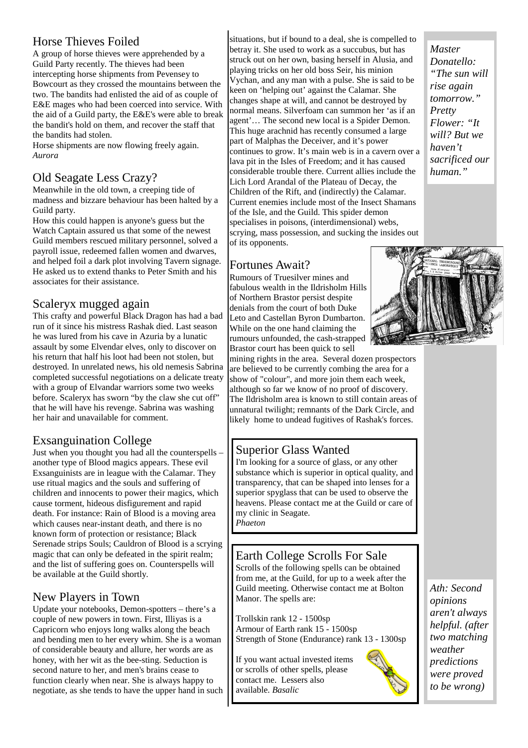#### Horse Thieves Foiled

A group of horse thieves were apprehended by a Guild Party recently. The thieves had been intercepting horse shipments from Pevensey to Bowcourt as they crossed the mountains between the two. The bandits had enlisted the aid of as couple of E&E mages who had been coerced into service. With the aid of a Guild party, the E&E's were able to break the bandit's hold on them, and recover the staff that the bandits had stolen.

Horse shipments are now flowing freely again. *Aurora* 

#### Old Seagate Less Crazy?

Meanwhile in the old town, a creeping tide of madness and bizzare behaviour has been halted by a Guild party.

How this could happen is anyone's guess but the Watch Captain assured us that some of the newest Guild members rescued military personnel, solved a payroll issue, redeemed fallen women and dwarves, and helped foil a dark plot involving Tavern signage. He asked us to extend thanks to Peter Smith and his associates for their assistance.

#### Scaleryx mugged again

This crafty and powerful Black Dragon has had a bad run of it since his mistress Rashak died. Last season he was lured from his cave in Azuria by a lunatic assault by some Elvendar elves, only to discover on his return that half his loot had been not stolen, but destroyed. In unrelated news, his old nemesis Sabrina completed successful negotiations on a delicate treaty with a group of Elvandar warriors some two weeks before. Scaleryx has sworn "by the claw she cut off" that he will have his revenge. Sabrina was washing her hair and unavailable for comment.

#### Exsanguination College

Just when you thought you had all the counterspells – another type of Blood magics appears. These evil Exsanguinists are in league with the Calamar. They use ritual magics and the souls and suffering of children and innocents to power their magics, which cause torment, hideous disfigurement and rapid death. For instance: Rain of Blood is a moving area which causes near-instant death, and there is no known form of protection or resistance; Black Serenade strips Souls; Cauldron of Blood is a scrying magic that can only be defeated in the spirit realm; and the list of suffering goes on. Counterspells will be available at the Guild shortly.

#### New Players in Town

Update your notebooks, Demon-spotters – there's a couple of new powers in town. First, Illiyas is a Capricorn who enjoys long walks along the beach and bending men to her every whim. She is a woman of considerable beauty and allure, her words are as honey, with her wit as the bee-sting. Seduction is second nature to her, and men's brains cease to function clearly when near. She is always happy to negotiate, as she tends to have the upper hand in such

situations, but if bound to a deal, she is compelled to betray it. She used to work as a succubus, but has struck out on her own, basing herself in Alusia, and playing tricks on her old boss Seir, his minion Vychan, and any man with a pulse. She is said to be keen on 'helping out' against the Calamar. She changes shape at will, and cannot be destroyed by normal means. Silverfoam can summon her 'as if an agent'… The second new local is a Spider Demon. This huge arachnid has recently consumed a large part of Malphas the Deceiver, and it's power continues to grow. It's main web is in a cavern over a lava pit in the Isles of Freedom; and it has caused considerable trouble there. Current allies include the Lich Lord Arandal of the Plateau of Decay, the Children of the Rift, and (indirectly) the Calamar. Current enemies include most of the Insect Shamans of the Isle, and the Guild. This spider demon specialises in poisons, (interdimensional) webs,

scrying, mass possession, and sucking the insides out of its opponents.

#### Fortunes Await?

Rumours of Truesilver mines and fabulous wealth in the Ildrisholm Hills of Northern Brastor persist despite denials from the court of both Duke Leto and Castellan Byron Dumbarton. While on the one hand claiming the rumours unfounded, the cash-strapped Brastor court has been quick to sell

mining rights in the area. Several dozen prospectors are believed to be currently combing the area for a show of "colour", and more join them each week, although so far we know of no proof of discovery. The Ildrisholm area is known to still contain areas of unnatural twilight; remnants of the Dark Circle, and likely home to undead fugitives of Rashak's forces.

#### Superior Glass Wanted

I'm looking for a source of glass, or any other substance which is superior in optical quality, and transparency, that can be shaped into lenses for a superior spyglass that can be used to observe the heavens. Please contact me at the Guild or care of my clinic in Seagate. *Phaeton*

#### Earth College Scrolls For Sale

Scrolls of the following spells can be obtained from me, at the Guild, for up to a week after the Guild meeting. Otherwise contact me at Bolton Manor. The spells are:

Trollskin rank 12 - 1500sp Armour of Earth rank 15 - 1500sp Strength of Stone (Endurance) rank 13 - 1300sp

If you want actual invested items or scrolls of other spells, please contact me. Lessers also available. *Basalic*

*Ath: Second opinions aren't always helpful. (after two matching weather predictions were proved to be wrong)* 

*Master Donatello: "The sun will rise again tomorrow." Pretty Flower: "It will? But we haven't sacrificed our human."*



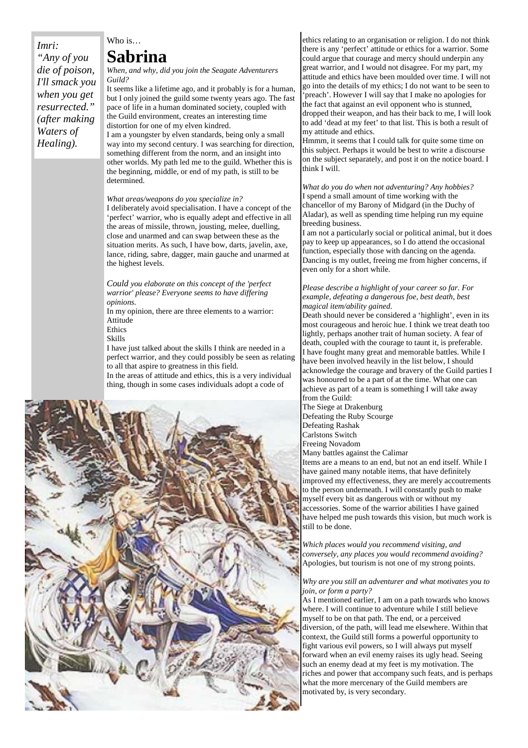#### *Imri: "Any of you die of poison, I'll smack you when you get resurrected." (after making Waters of Healing).*

#### Who is… **Sabrina**

*When, and why, did you join the Seagate Adventurers Guild?* 

It seems like a lifetime ago, and it probably is for a human, but I only joined the guild some twenty years ago. The fast pace of life in a human dominated society, coupled with the Guild environment, creates an interesting time distortion for one of my elven kindred. I am a youngster by elven standards, being only a small

way into my second century. I was searching for direction, something different from the norm, and an insight into other worlds. My path led me to the guild. Whether this is the beginning, middle, or end of my path, is still to be determined.

#### *What areas/weapons do you specialize in?*

I deliberately avoid specialisation. I have a concept of the 'perfect' warrior, who is equally adept and effective in all the areas of missile, thrown, jousting, melee, duelling, close and unarmed and can swap between these as the situation merits. As such, I have bow, darts, javelin, axe, lance, riding, sabre, dagger, main gauche and unarmed at the highest levels.

*Could you elaborate on this concept of the 'perfect warrior' please? Everyone seems to have differing opinions.* 

In my opinion, there are three elements to a warrior: Attitude

Ethics

Skills

I have just talked about the skills I think are needed in a perfect warrior, and they could possibly be seen as relating to all that aspire to greatness in this field.

In the areas of attitude and ethics, this is a very individual thing, though in some cases individuals adopt a code of



ethics relating to an organisation or religion. I do not think there is any 'perfect' attitude or ethics for a warrior. Some could argue that courage and mercy should underpin any great warrior, and I would not disagree. For my part, my attitude and ethics have been moulded over time. I will not go into the details of my ethics; I do not want to be seen to 'preach'. However I will say that I make no apologies for the fact that against an evil opponent who is stunned, dropped their weapon, and has their back to me, I will look to add 'dead at my feet' to that list. This is both a result of my attitude and ethics.

Hmmm, it seems that I could talk for quite some time on this subject. Perhaps it would be best to write a discourse on the subject separately, and post it on the notice board. I think I will.

*What do you do when not adventuring? Any hobbies?*  I spend a small amount of time working with the chancellor of my Barony of Midgard (in the Duchy of Aladar), as well as spending time helping run my equine breeding business.

I am not a particularly social or political animal, but it does pay to keep up appearances, so I do attend the occasional function, especially those with dancing on the agenda. Dancing is my outlet, freeing me from higher concerns, if even only for a short while.

#### *Please describe a highlight of your career so far. For example, defeating a dangerous foe, best death, best magical item/ability gained.*

Death should never be considered a 'highlight', even in its most courageous and heroic hue. I think we treat death too lightly, perhaps another trait of human society. A fear of death, coupled with the courage to taunt it, is preferable. I have fought many great and memorable battles. While I have been involved heavily in the list below, I should acknowledge the courage and bravery of the Guild parties I was honoured to be a part of at the time. What one can achieve as part of a team is something I will take away from the Guild:

The Siege at Drakenburg Defeating the Ruby Scourge Defeating Rashak Carlstons Switch Freeing Novadom

Many battles against the Calimar

Items are a means to an end, but not an end itself. While I have gained many notable items, that have definitely improved my effectiveness, they are merely accoutrements to the person underneath. I will constantly push to make myself every bit as dangerous with or without my accessories. Some of the warrior abilities I have gained have helped me push towards this vision, but much work is still to be done.

*Which places would you recommend visiting, and conversely, any places you would recommend avoiding?*  Apologies, but tourism is not one of my strong points.

#### *Why are you still an adventurer and what motivates you to join, or form a party?*

As I mentioned earlier, I am on a path towards who knows where. I will continue to adventure while I still believe myself to be on that path. The end, or a perceived diversion, of the path, will lead me elsewhere. Within that context, the Guild still forms a powerful opportunity to fight various evil powers, so I will always put myself forward when an evil enemy raises its ugly head. Seeing such an enemy dead at my feet is my motivation. The riches and power that accompany such feats, and is perhaps what the more mercenary of the Guild members are motivated by, is very secondary.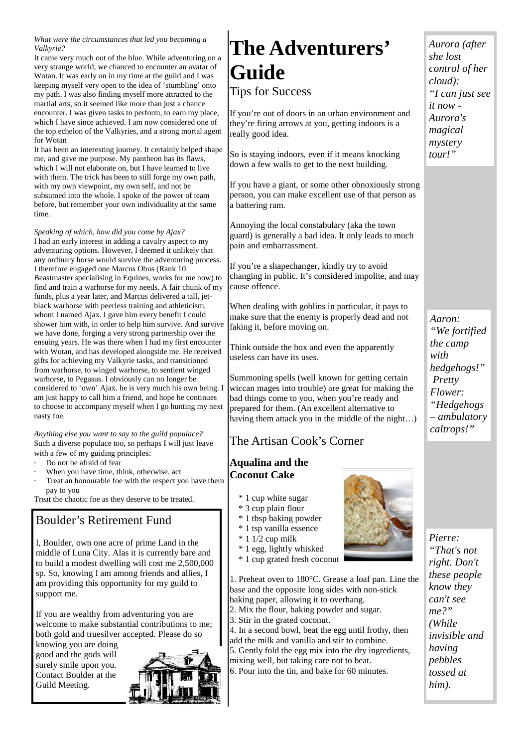#### *What were the circumstances that led you becoming a Valkyrie?*

It came very much out of the blue. While adventuring on a very strange world, we chanced to encounter an avatar of Wotan. It was early on in my time at the guild and I was keeping myself very open to the idea of 'stumbling' onto my path. I was also finding myself more attracted to the martial arts, so it seemed like more than just a chance encounter. I was given tasks to perform, to earn my place, which I have since achieved. I am now considered one of the top echelon of the Valkyries, and a strong mortal agent for Wotan

It has been an interesting journey. It certainly helped shape me, and gave me purpose. My pantheon has its flaws, which I will not elaborate on, but I have learned to live with them. The trick has been to still forge my own path, with my own viewpoint, my own self, and not be subsumed into the whole. I spoke of the power of team before, but remember your own individuality at the same time.

*Speaking of which, how did you come by Ajax?*  I had an early interest in adding a cavalry aspect to my adventuring options. However, I deemed it unlikely that any ordinary horse would survive the adventuring process. I therefore engaged one Marcus Obus (Rank 10 Beastmaster specialising in Equines, works for me now) to find and train a warhorse for my needs. A fair chunk of my funds, plus a year later, and Marcus delivered a tall, jetblack warhorse with peerless training and athleticism, whom I named Ajax. I gave him every benefit I could shower him with, in order to help him survive. And survive we have done, forging a very strong partnership over the ensuing years. He was there when I had my first encounter with Wotan, and has developed alongside me. He received gifts for achieving my Valkyrie tasks, and transitioned from warhorse, to winged warhorse, to sentient winged warhorse, to Pegasus. I obviously can no longer be considered to 'own' Ajax. he is very much his own being. I am just happy to call him a friend, and hope he continues to choose to accompany myself when I go hunting my next nasty foe.

*Anything else you want to say to the guild populace?*  Such a diverse populace too, so perhaps I will just leave with a few of my guiding principles:

- Do not be afraid of fear
- When you have time, think, otherwise, act
- Treat an honourable foe with the respect you have them pay to you

Treat the chaotic foe as they deserve to be treated.

#### Boulder's Retirement Fund

I, Boulder, own one acre of prime Land in the middle of Luna City. Alas it is currently bare and to build a modest dwelling will cost me 2,500,000 sp. So, knowing I am among friends and allies, I am providing this opportunity for my guild to support me.

If you are wealthy from adventuring you are welcome to make substantial contributions to me; both gold and truesilver accepted. Please do so

knowing you are doing good and the gods will surely smile upon you. Contact Boulder at the Guild Meeting.



## **The Adventurers' Guide**

Tips for Success

If you're out of doors in an urban environment and they're firing arrows at you, getting indoors is a really good idea.

So is staying indoors, even if it means knocking down a few walls to get to the next building.

If you have a giant, or some other obnoxiously strong person, you can make excellent use of that person as a battering ram.

Annoying the local constabulary (aka the town guard) is generally a bad idea. It only leads to much pain and embarrassment.

If you're a shapechanger, kindly try to avoid changing in public. It's considered impolite, and may cause offence.

When dealing with goblins in particular, it pays to make sure that the enemy is properly dead and not faking it, before moving on.

Think outside the box and even the apparently useless can have its uses.

Summoning spells (well known for getting certain wiccan mages into trouble) are great for making the bad things come to you, when you're ready and prepared for them. (An excellent alternative to having them attack you in the middle of the night…)

#### The Artisan Cook's Corner

#### **Aqualina and the Coconut Cake**

- \* 1 cup white sugar
- \* 3 cup plain flour
- \* 1 tbsp baking powder
- \* 1 tsp vanilla essence
- $*$  1 1/2 cup milk
- \* 1 egg, lightly whisked



1. Preheat oven to 180°C. Grease a loaf pan. Line the base and the opposite long sides with non-stick baking paper, allowing it to overhang.

- 2. Mix the flour, baking powder and sugar.
- 3. Stir in the grated coconut.

4. In a second bowl, beat the egg until frothy, then add the milk and vanilla and stir to combine. 5. Gently fold the egg mix into the dry ingredients, mixing well, but taking care not to beat. 6. Pour into the tin, and bake for 60 minutes.



*Pierre: "That's not right. Don't these people know they can't see me?" (While invisible and having pebbles tossed at him).* 

*Aurora (after she lost control of her cloud): "I can just see it now - Aurora's magical mystery tour!"* 

*Aaron: "We fortified the camp with hedgehogs!" Pretty Flower: "Hedgehogs – ambulatory caltrops!"*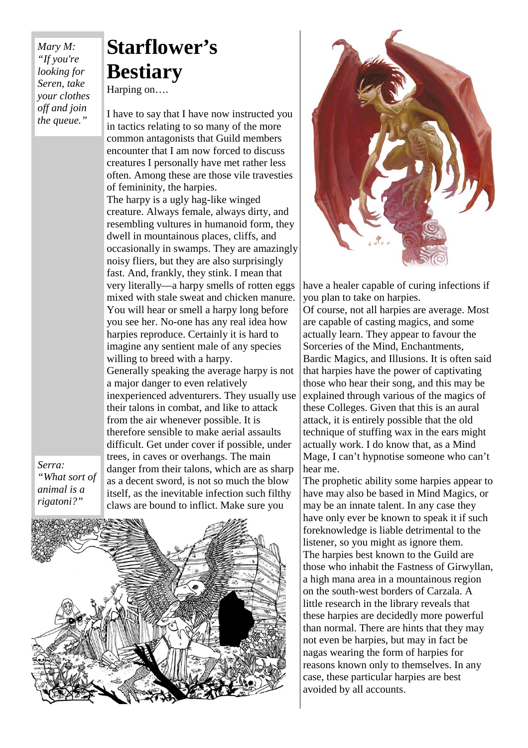*Mary M: "If you're looking for Seren, take your clothes off and join the queue."* 

## **Starflower's Bestiary**

Harping on….

I have to say that I have now instructed you in tactics relating to so many of the more common antagonists that Guild members encounter that I am now forced to discuss creatures I personally have met rather less often. Among these are those vile travesties of femininity, the harpies. The harpy is a ugly hag-like winged creature. Always female, always dirty, and resembling vultures in humanoid form, they dwell in mountainous places, cliffs, and occasionally in swamps. They are amazingly noisy fliers, but they are also surprisingly fast. And, frankly, they stink. I mean that very literally—a harpy smells of rotten eggs mixed with stale sweat and chicken manure. You will hear or smell a harpy long before you see her. No-one has any real idea how harpies reproduce. Certainly it is hard to imagine any sentient male of any species willing to breed with a harpy. Generally speaking the average harpy is not a major danger to even relatively inexperienced adventurers. They usually use their talons in combat, and like to attack from the air whenever possible. It is therefore sensible to make aerial assaults difficult. Get under cover if possible, under trees, in caves or overhangs. The main danger from their talons, which are as sharp as a decent sword, is not so much the blow itself, as the inevitable infection such filthy claws are bound to inflict. Make sure you

*Serra: "What sort of animal is a rigatoni?"* 





have a healer capable of curing infections if you plan to take on harpies.

Of course, not all harpies are average. Most are capable of casting magics, and some actually learn. They appear to favour the Sorceries of the Mind, Enchantments, Bardic Magics, and Illusions. It is often said that harpies have the power of captivating those who hear their song, and this may be explained through various of the magics of these Colleges. Given that this is an aural attack, it is entirely possible that the old technique of stuffing wax in the ears might actually work. I do know that, as a Mind Mage, I can't hypnotise someone who can't hear me.

The prophetic ability some harpies appear to have may also be based in Mind Magics, or may be an innate talent. In any case they have only ever be known to speak it if such foreknowledge is liable detrimental to the listener, so you might as ignore them. The harpies best known to the Guild are those who inhabit the Fastness of Girwyllan, a high mana area in a mountainous region on the south-west borders of Carzala. A little research in the library reveals that these harpies are decidedly more powerful than normal. There are hints that they may not even be harpies, but may in fact be nagas wearing the form of harpies for reasons known only to themselves. In any case, these particular harpies are best avoided by all accounts.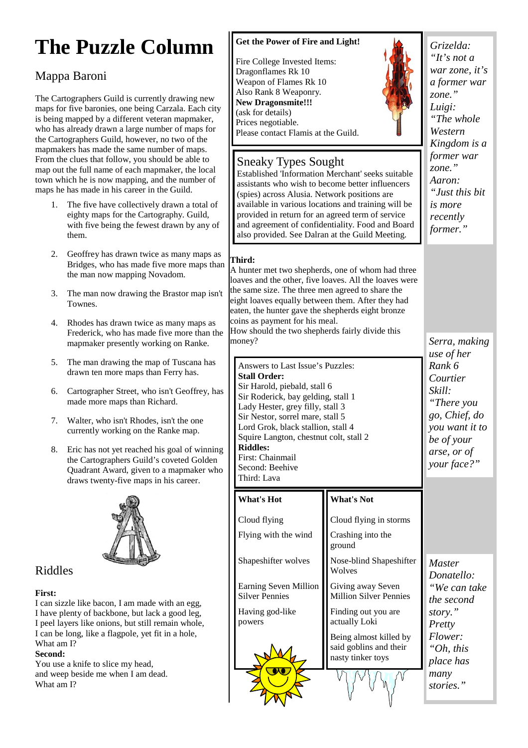## **The Puzzle Column**

### Mappa Baroni

The Cartographers Guild is currently drawing new maps for five baronies, one being Carzala. Each city is being mapped by a different veteran mapmaker, who has already drawn a large number of maps for the Cartographers Guild, however, no two of the mapmakers has made the same number of maps. From the clues that follow, you should be able to map out the full name of each mapmaker, the local town which he is now mapping, and the number of maps he has made in his career in the Guild.

- 1. The five have collectively drawn a total of eighty maps for the Cartography. Guild, with five being the fewest drawn by any of them.
- 2. Geoffrey has drawn twice as many maps as Bridges, who has made five more maps than the man now mapping Novadom.
- 3. The man now drawing the Brastor map isn't Townes.
- 4. Rhodes has drawn twice as many maps as Frederick, who has made five more than the mapmaker presently working on Ranke.
- 5. The man drawing the map of Tuscana has drawn ten more maps than Ferry has.
- 6. Cartographer Street, who isn't Geoffrey, has made more maps than Richard.
- 7. Walter, who isn't Rhodes, isn't the one currently working on the Ranke map.
- 8. Eric has not yet reached his goal of winning the Cartographers Guild's coveted Golden Quadrant Award, given to a mapmaker who draws twenty-five maps in his career.



#### Riddles

#### **First:**

I can sizzle like bacon, I am made with an egg, I have plenty of backbone, but lack a good leg, I peel layers like onions, but still remain whole, I can be long, like a flagpole, yet fit in a hole, What am I?

#### **Second:**

You use a knife to slice my head, and weep beside me when I am dead. What am I?

#### **Get the Power of Fire and Light!**

Fire College Invested Items: Dragonflames Rk 10 Weapon of Flames Rk 10 Also Rank 8 Weaponry. **New Dragonsmite!!!**  (ask for details) Prices negotiable. Please contact Flamis at the Guild.

Sneaky Types Sought



*Grizelda: "It's not a war zone, it's a former war zone." Luigi: "The whole Western Kingdom is a former war zone." Aaron: "Just this bit is more recently former."* 

#### **Third:**

A hunter met two shepherds, one of whom had three loaves and the other, five loaves. All the loaves were the same size. The three men agreed to share the eight loaves equally between them. After they had eaten, the hunter gave the shepherds eight bronze coins as payment for his meal.

Established 'Information Merchant' seeks suitable assistants who wish to become better influencers (spies) across Alusia. Network positions are available in various locations and training will be provided in return for an agreed term of service and agreement of confidentiality. Food and Board also provided. See Dalran at the Guild Meeting.

How should the two shepherds fairly divide this money?

Answers to Last Issue's Puzzles: **Stall Order:**  Sir Harold, piebald, stall 6 Sir Roderick, bay gelding, stall 1 Lady Hester, grey filly, stall 3 Sir Nestor, sorrel mare, stall 5 Lord Grok, black stallion, stall 4 Squire Langton, chestnut colt, stall 2 **Riddles:**  First: Chainmail Second: Beehive

**What's Hot** 

Third: Lava

#### **What's Not**

| Cloud flying                                   | Cloud flying in storms                                                |
|------------------------------------------------|-----------------------------------------------------------------------|
| Flying with the wind                           | Crashing into the<br>ground                                           |
| Shapeshifter wolves                            | Nose-blind Shapeshifter<br>Wolves                                     |
| Earning Seven Million<br><b>Silver Pennies</b> | Giving away Seven<br><b>Million Silver Pennies</b>                    |
| Having god-like<br>powers                      | Finding out you are<br>actually Loki                                  |
|                                                | Being almost killed by<br>said goblins and their<br>nasty tinker toys |
|                                                |                                                                       |

*Serra, making use of her Rank 6 Courtier Skill: "There you go, Chief, do you want it to be of your arse, or of your face?"* 

*Master Donatello: "We can take the second story." Pretty Flower: "Oh, this place has many stories."*